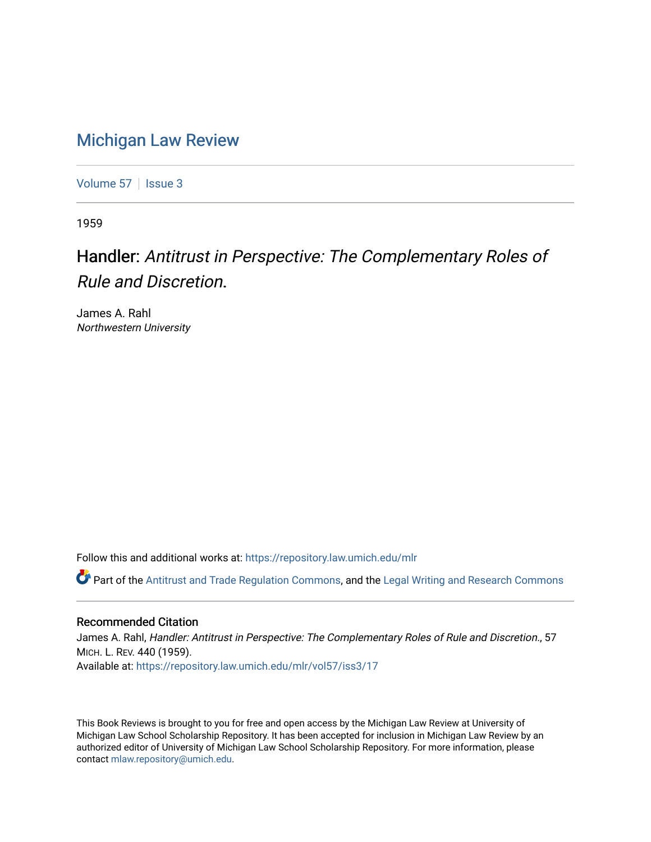## [Michigan Law Review](https://repository.law.umich.edu/mlr)

[Volume 57](https://repository.law.umich.edu/mlr/vol57) | [Issue 3](https://repository.law.umich.edu/mlr/vol57/iss3)

1959

## Handler: Antitrust in Perspective: The Complementary Roles of Rule and Discretion.

James A. Rahl Northwestern University

Follow this and additional works at: [https://repository.law.umich.edu/mlr](https://repository.law.umich.edu/mlr?utm_source=repository.law.umich.edu%2Fmlr%2Fvol57%2Fiss3%2F17&utm_medium=PDF&utm_campaign=PDFCoverPages) 

**C** Part of the [Antitrust and Trade Regulation Commons,](http://network.bepress.com/hgg/discipline/911?utm_source=repository.law.umich.edu%2Fmlr%2Fvol57%2Fiss3%2F17&utm_medium=PDF&utm_campaign=PDFCoverPages) and the [Legal Writing and Research Commons](http://network.bepress.com/hgg/discipline/614?utm_source=repository.law.umich.edu%2Fmlr%2Fvol57%2Fiss3%2F17&utm_medium=PDF&utm_campaign=PDFCoverPages)

## Recommended Citation

James A. Rahl, Handler: Antitrust in Perspective: The Complementary Roles of Rule and Discretion., 57 MICH. L. REV. 440 (1959). Available at: [https://repository.law.umich.edu/mlr/vol57/iss3/17](https://repository.law.umich.edu/mlr/vol57/iss3/17?utm_source=repository.law.umich.edu%2Fmlr%2Fvol57%2Fiss3%2F17&utm_medium=PDF&utm_campaign=PDFCoverPages) 

This Book Reviews is brought to you for free and open access by the Michigan Law Review at University of Michigan Law School Scholarship Repository. It has been accepted for inclusion in Michigan Law Review by an authorized editor of University of Michigan Law School Scholarship Repository. For more information, please contact [mlaw.repository@umich.edu](mailto:mlaw.repository@umich.edu).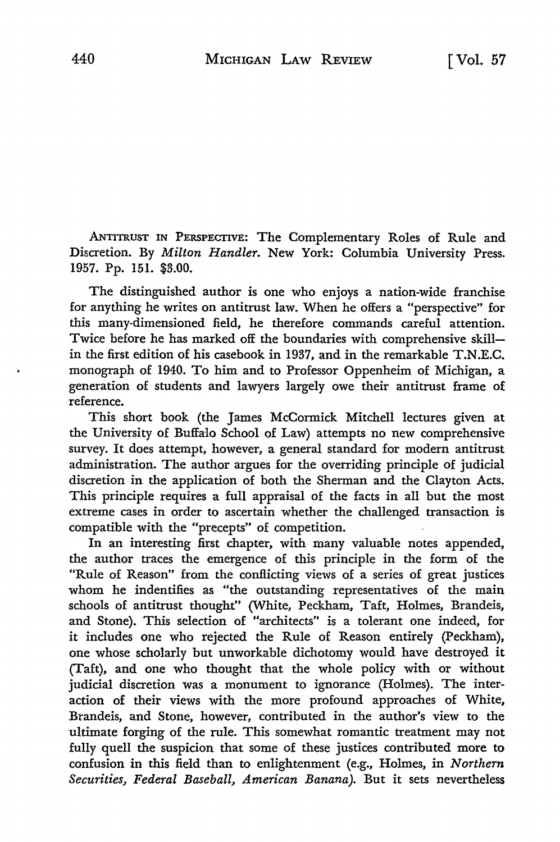.ANTITRUST IN PERSPECTIVE: The Complementary Roles of Rule and Discretion. By *Milton Handler.* New York: Columbia University Press. 1957. Pp. 151. \$3.00.

The distinguished author is one who enjoys a nation-wide franchise for anything he writes on antitrust law. When he offers a "perspective" for this many-dimensioned field, he therefore commands careful attention. Twice before he has marked off the boundaries with comprehensive skillin the first edition of his casebook in 1937, and in the remarkable T.N.E.C. monograph of 1940. To him and to Professor Oppenheim of Michigan, a generation of students and lawyers largely owe their antitrust frame of reference.

This short book (the James McCormick Mitchell lectures given at the University of Buffalo School of Law) attempts no new comprehensive survey. It does attempt, however, a general standard for modem antitrust administration. The author argues for the overriding principle of judicial discretion in the application of both the Sherman and the Clayton Acts. This principle requires a full appraisal of the facts in all but the most extreme cases in order to ascertain whether the challenged transaction is compatible with the "precepts" of competition.

In an interesting first chapter, with many valuable notes appended, the author traces the emergence of this principle in the form of the "Rule of Reason" from the conflicting views of a series of great justices whom he indentifies as "the outstanding representatives of the main schools of antitrust thought" (White, Peckham, Taft, Holmes, Brandeis, and Stone). This selection of "architects" is a tolerant one indeed, for it includes one who rejected the Rule of Reason entirely (Peckham), one whose scholarly but unworkable dichotomy would have destroyed it (Taft), and one who thought that the whole policy with or without judicial discretion was a monument to ignorance (Holmes). The interaction of their views with the more profound approaches of White, Brandeis, and Stone, however, contributed in the author's view to the ultimate forging of the rule. This somewhat romantic treatment may not fully quell the suspicion that some of these justices contributed more to confusion in this field than to enlightenment *(e.g.,* Holmes, in *Northern Securities, Federal Baseball, American Banana).* But it sets nevertheless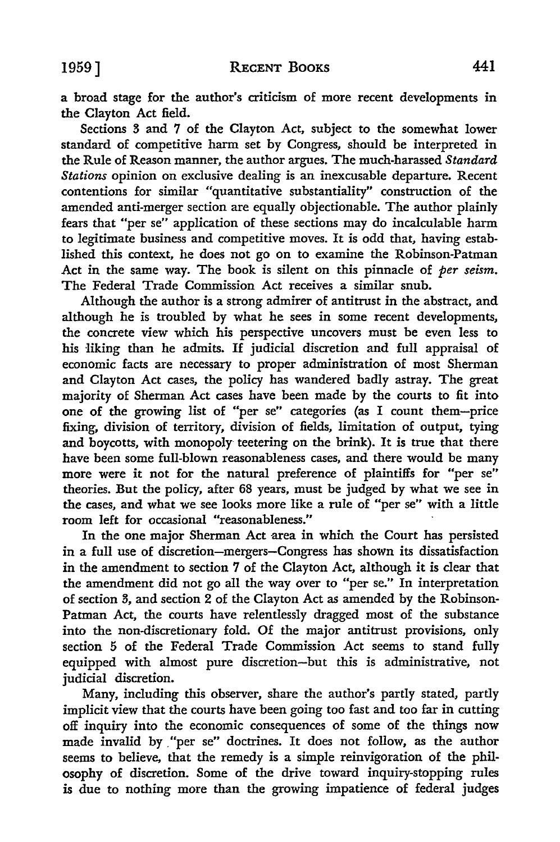a broad stage for the author's criticism of more recent developments in the Clayton Act field.

Sections 3 and 7 of the Clayton Act, subject to the somewhat lower standard of competitive harm set by Congress, should be interpreted in the Rule of Reason manner, the author argues. The much-harassed *Standard Stations* opinion on exclusive dealing is an inexcusable departure. Recent contentions for similar "quantitative substantiality" construction of the amended anti-merger section are equally objectionable. The author plainly fears that "per se" application of these sections may do incalculable harm to legitimate business and competitive moves. It is odd that, having established this context, he does not go on to examine the Robinson-Patman Act in the same way. The book is silent on this pinnacle of *per seism.*  The Federal Trade Commission Act receives a similar snub.

Although the author is a strong admirer of antitrust in the abstract, and although he is troubled by what he sees in some recent developments, the concrete view which his perspective uncovers must be even less to his liking than he admits. If judicial discretion and full appraisal of economic facts are necessary to proper administration of most Sherman and Clayton Act cases, the policy has wandered badly astray. The great majority of Sherman Act cases have been made by the courts to fit into one of the growing list of "per se" categories (as I count them-price fixing, division of territory, division of fields, limitation of output, tying and boycotts, with monopoly teetering on the brink). It is true that there have been some full-blown reasonableness cases, and there would be many more were it not for the natural preference of plaintiffs for "per se" theories. But the policy, after 68 years, must be judged by what we see in the cases, and what we see looks more like a rule of "per se" with a little room left for occasional "reasonableness."

In the one major Sherman Act area in which the Court has persisted in a full use of discretion-mergers-Congress has shown its dissatisfaction in the amendment to section 7 of the Clayton Act, although it is clear that the amendment did not go all the way over to "per se." In interpretation of section 3, and section 2 of the Clayton Act as amended by the Robinson-Patman Act, the courts have relentlessly dragged most of the substance into the non-discretionary fold. Of the major antitrust provisions, only section 5 of the Federal Trade Commission Act seems to stand fully equipped with almost pure discretion-but this is administrative, not judicial discretion.

Many, including this observer, share the author's partly stated, partly implicit view that the courts have been going too fast and too far in cutting off inquiry into the economic consequences of some of the things now made invalid by "per se" doctrines. It does not follow, as the author seems to believe, that the remedy is a simple reinvigoration of the philosophy of discretion. Some of the drive toward inquiry-stopping rules is due to nothing more than the growing impatience of federal judges